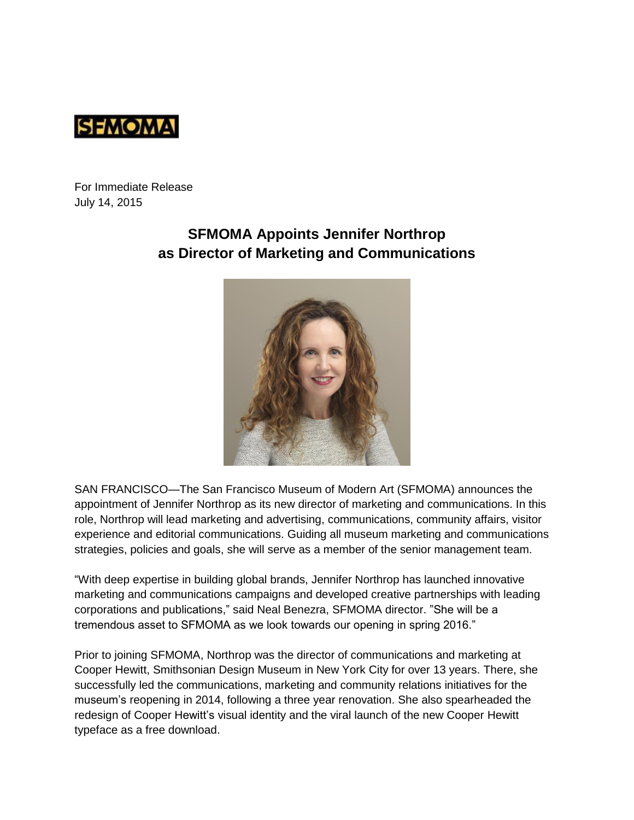

For Immediate Release July 14, 2015

## **SFMOMA Appoints Jennifer Northrop as Director of Marketing and Communications**



SAN FRANCISCO—The San Francisco Museum of Modern Art (SFMOMA) announces the appointment of Jennifer Northrop as its new director of marketing and communications. In this role, Northrop will lead marketing and advertising, communications, community affairs, visitor experience and editorial communications. Guiding all museum marketing and communications strategies, policies and goals, she will serve as a member of the senior management team.

"With deep expertise in building global brands, Jennifer Northrop has launched innovative marketing and communications campaigns and developed creative partnerships with leading corporations and publications," said Neal Benezra, SFMOMA director. "She will be a tremendous asset to SFMOMA as we look towards our opening in spring 2016."

Prior to joining SFMOMA, Northrop was the director of communications and marketing at Cooper Hewitt, Smithsonian Design Museum in New York City for over 13 years. There, she successfully led the communications, marketing and community relations initiatives for the museum's reopening in 2014, following a three year renovation. She also spearheaded the redesign of Cooper Hewitt's visual identity and the viral launch of the new Cooper Hewitt typeface as a free download.